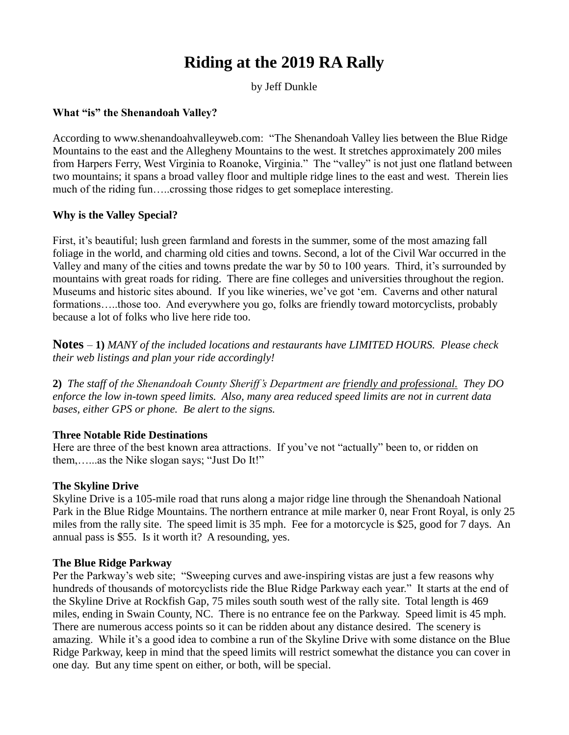# **Riding at the 2019 RA Rally**

by Jeff Dunkle

### **What "is" the Shenandoah Valley?**

According to [www.shenandoahvalleyweb.com:](http://www.shenandoahvalleyweb.com/) "The Shenandoah Valley lies between the Blue Ridge Mountains to the east and the Allegheny Mountains to the west. It stretches approximately 200 miles from Harpers Ferry, West Virginia to Roanoke, Virginia." The "valley" is not just one flatland between two mountains; it spans a broad valley floor and multiple ridge lines to the east and west. Therein lies much of the riding fun…..crossing those ridges to get someplace interesting.

### **Why is the Valley Special?**

First, it's beautiful; lush green farmland and forests in the summer, some of the most amazing fall foliage in the world, and charming old cities and towns. Second, a lot of the Civil War occurred in the Valley and many of the cities and towns predate the war by 50 to 100 years. Third, it's surrounded by mountains with great roads for riding. There are fine colleges and universities throughout the region. Museums and historic sites abound. If you like wineries, we've got 'em. Caverns and other natural formations…..those too. And everywhere you go, folks are friendly toward motorcyclists, probably because a lot of folks who live here ride too.

**Notes** – **1)** *MANY of the included locations and restaurants have LIMITED HOURS. Please check their web listings and plan your ride accordingly!*

**2)** *The staff of the Shenandoah County Sheriff's Department are friendly and professional. They DO enforce the low in-town speed limits. Also, many area reduced speed limits are not in current data bases, either GPS or phone. Be alert to the signs.*

### **Three Notable Ride Destinations**

Here are three of the best known area attractions. If you've not "actually" been to, or ridden on them,…...as the Nike slogan says; "Just Do It!"

### **The Skyline Drive**

Skyline Drive is a 105-mile road that runs along a major ridge line through the Shenandoah National Park in the Blue Ridge Mountains. The northern entrance at mile marker 0, near Front Royal, is only 25 miles from the rally site. The speed limit is 35 mph. Fee for a motorcycle is \$25, good for 7 days. An annual pass is \$55. Is it worth it? A resounding, yes.

### **The Blue Ridge Parkway**

Per the Parkway's web site; "Sweeping curves and awe-inspiring vistas are just a few reasons why hundreds of thousands of motorcyclists ride the Blue Ridge Parkway each year." It starts at the end of the Skyline Drive at Rockfish Gap, 75 miles south south west of the rally site. Total length is 469 miles, ending in Swain County, NC. There is no entrance fee on the Parkway. Speed limit is 45 mph. There are numerous access points so it can be ridden about any distance desired. The scenery is amazing. While it's a good idea to combine a run of the Skyline Drive with some distance on the Blue Ridge Parkway, keep in mind that the speed limits will restrict somewhat the distance you can cover in one day. But any time spent on either, or both, will be special.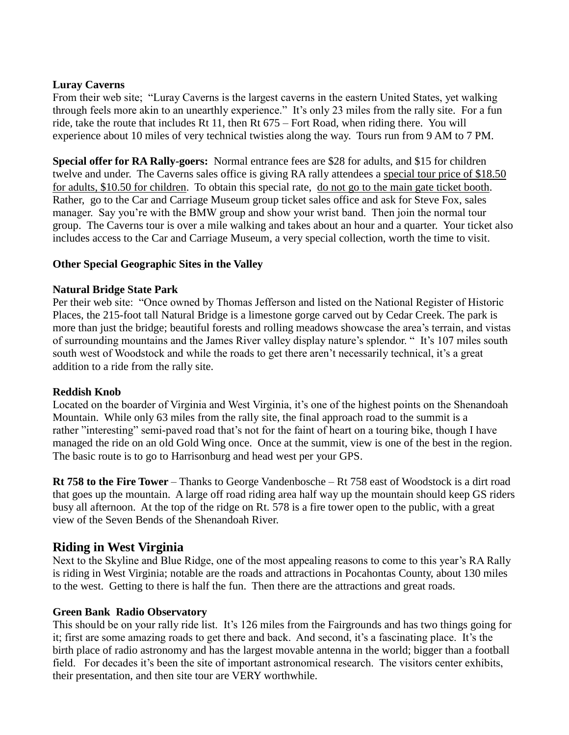### **Luray Caverns**

From their web site; "Luray Caverns is the largest caverns in the eastern United States, yet walking through feels more akin to an unearthly experience." It's only 23 miles from the rally site. For a fun ride, take the route that includes Rt 11, then Rt 675 – Fort Road, when riding there. You will experience about 10 miles of very technical twisties along the way. Tours run from 9 AM to 7 PM.

**Special offer for RA Rally-goers:** Normal entrance fees are \$28 for adults, and \$15 for children twelve and under. The Caverns sales office is giving RA rally attendees a special tour price of \$18.50 for adults, \$10.50 for children. To obtain this special rate, do not go to the main gate ticket booth. Rather, go to the Car and Carriage Museum group ticket sales office and ask for Steve Fox, sales manager. Say you're with the BMW group and show your wrist band. Then join the normal tour group. The Caverns tour is over a mile walking and takes about an hour and a quarter. Your ticket also includes access to the Car and Carriage Museum, a very special collection, worth the time to visit.

### **Other Special Geographic Sites in the Valley**

### **Natural Bridge State Park**

Per their web site: "Once owned by Thomas Jefferson and listed on the National Register of Historic Places, the 215-foot tall Natural Bridge is a limestone gorge carved out by Cedar Creek. The park is more than just the bridge; beautiful forests and rolling meadows showcase the area's terrain, and vistas of surrounding mountains and the James River valley display nature's splendor. " It's 107 miles south south west of Woodstock and while the roads to get there aren't necessarily technical, it's a great addition to a ride from the rally site.

### **Reddish Knob**

Located on the boarder of Virginia and West Virginia, it's one of the highest points on the Shenandoah Mountain. While only 63 miles from the rally site, the final approach road to the summit is a rather "interesting" semi-paved road that's not for the faint of heart on a touring bike, though I have managed the ride on an old Gold Wing once. Once at the summit, view is one of the best in the region. The basic route is to go to Harrisonburg and head west per your GPS.

**Rt 758 to the Fire Tower** – Thanks to George Vandenbosche – Rt 758 east of Woodstock is a dirt road that goes up the mountain. A large off road riding area half way up the mountain should keep GS riders busy all afternoon. At the top of the ridge on Rt. 578 is a fire tower open to the public, with a great view of the Seven Bends of the Shenandoah River.

### **Riding in West Virginia**

Next to the Skyline and Blue Ridge, one of the most appealing reasons to come to this year's RA Rally is riding in West Virginia; notable are the roads and attractions in Pocahontas County, about 130 miles to the west. Getting to there is half the fun. Then there are the attractions and great roads.

### **Green Bank Radio Observatory**

This should be on your rally ride list. It's 126 miles from the Fairgrounds and has two things going for it; first are some amazing roads to get there and back. And second, it's a fascinating place. It's the birth place of radio astronomy and has the largest movable antenna in the world; bigger than a football field. For decades it's been the site of important astronomical research. The visitors center exhibits, their presentation, and then site tour are VERY worthwhile.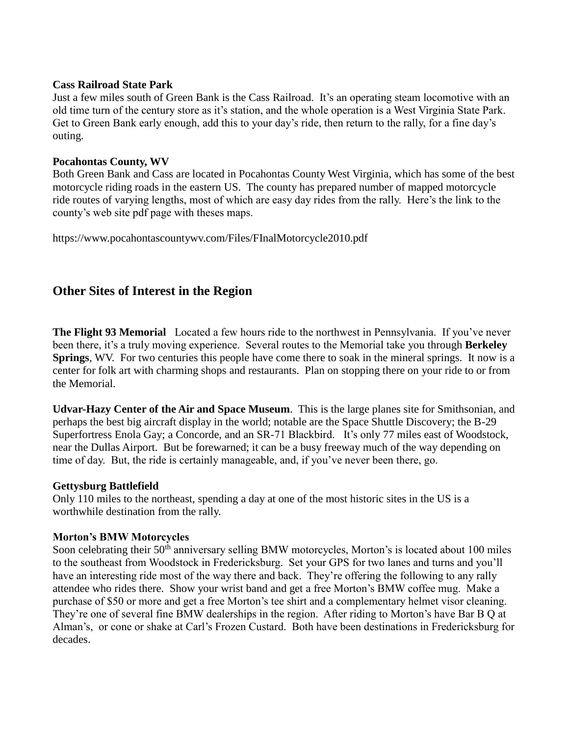#### **Cass Railroad State Park**

Just a few miles south of Green Bank is the Cass Railroad. It's an operating steam locomotive with an old time turn of the century store as it's station, and the whole operation is a West Virginia State Park. Get to Green Bank early enough, add this to your day's ride, then return to the rally, for a fine day's outing.

#### **Pocahontas County, WV**

Both Green Bank and Cass are located in Pocahontas County West Virginia, which has some of the best motorcycle riding roads in the eastern US. The county has prepared number of mapped motorcycle ride routes of varying lengths, most of which are easy day rides from the rally. Here's the link to the county's web site pdf page with theses maps.

<https://www.pocahontascountywv.com/Files/FInalMotorcycle2010.pdf>

### **Other Sites of Interest in the Region**

**The Flight 93 Memorial** Located a few hours ride to the northwest in Pennsylvania. If you've never been there, it's a truly moving experience. Several routes to the Memorial take you through **Berkeley Springs**, WV. For two centuries this people have come there to soak in the mineral springs. It now is a center for folk art with charming shops and restaurants. Plan on stopping there on your ride to or from the Memorial.

**Udvar-Hazy Center of the Air and Space Museum**. This is the large planes site for Smithsonian, and perhaps the best big aircraft display in the world; notable are the Space Shuttle Discovery; the B-29 Superfortress Enola Gay; a Concorde, and an SR-71 Blackbird. It's only 77 miles east of Woodstock, near the Dullas Airport. But be forewarned; it can be a busy freeway much of the way depending on time of day. But, the ride is certainly manageable, and, if you've never been there, go.

### **Gettysburg Battlefield**

Only 110 miles to the northeast, spending a day at one of the most historic sites in the US is a worthwhile destination from the rally.

### **Morton's BMW Motorcycles**

Soon celebrating their 50<sup>th</sup> anniversary selling BMW motorcycles, Morton's is located about 100 miles to the southeast from Woodstock in Fredericksburg. Set your GPS for two lanes and turns and you'll have an interesting ride most of the way there and back. They're offering the following to any rally attendee who rides there. Show your wrist band and get a free Morton's BMW coffee mug. Make a purchase of \$50 or more and get a free Morton's tee shirt and a complementary helmet visor cleaning. They're one of several fine BMW dealerships in the region. After riding to Morton's have Bar B Q at Alman's, or cone or shake at Carl's Frozen Custard. Both have been destinations in Fredericksburg for decades.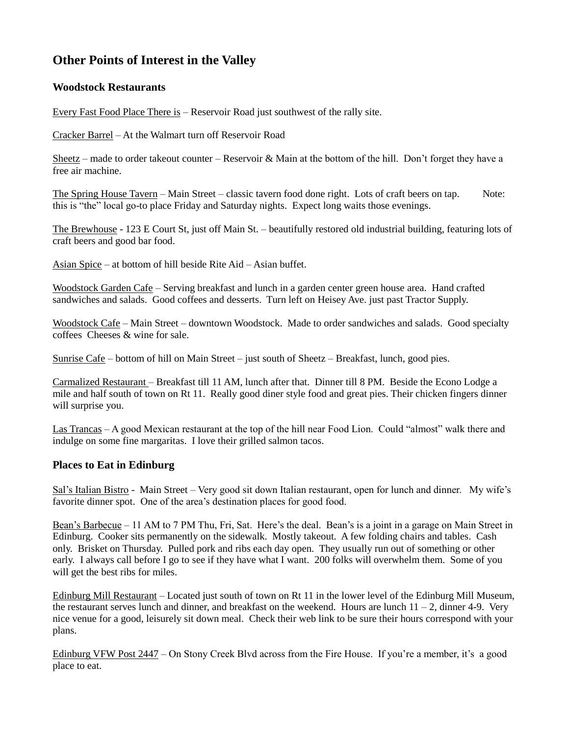## **Other Points of Interest in the Valley**

### **Woodstock Restaurants**

Every Fast Food Place There is – Reservoir Road just southwest of the rally site.

Cracker Barrel – At the Walmart turn off Reservoir Road

Sheetz – made to order takeout counter – Reservoir & Main at the bottom of the hill. Don't forget they have a free air machine.

The Spring House Tavern – Main Street – classic tavern food done right. Lots of craft beers on tap. Note: this is "the" local go-to place Friday and Saturday nights. Expect long waits those evenings.

The Brewhouse - 123 E Court St, just off Main St. – beautifully restored old industrial building, featuring lots of craft beers and good bar food.

Asian Spice – at bottom of hill beside Rite Aid – Asian buffet.

Woodstock Garden Cafe – Serving breakfast and lunch in a garden center green house area. Hand crafted sandwiches and salads. Good coffees and desserts. Turn left on Heisey Ave. just past Tractor Supply.

Woodstock Cafe – Main Street – downtown Woodstock. Made to order sandwiches and salads. Good specialty coffees Cheeses & wine for sale.

Sunrise Cafe – bottom of hill on Main Street – just south of Sheetz – Breakfast, lunch, good pies.

Carmalized Restaurant – Breakfast till 11 AM, lunch after that. Dinner till 8 PM. Beside the Econo Lodge a mile and half south of town on Rt 11. Really good diner style food and great pies. Their chicken fingers dinner will surprise you.

Las Trancas – A good Mexican restaurant at the top of the hill near Food Lion. Could "almost" walk there and indulge on some fine margaritas. I love their grilled salmon tacos.

### **Places to Eat in Edinburg**

Sal's Italian Bistro - Main Street – Very good sit down Italian restaurant, open for lunch and dinner. My wife's favorite dinner spot. One of the area's destination places for good food.

Bean's Barbecue – 11 AM to 7 PM Thu, Fri, Sat. Here's the deal. Bean's is a joint in a garage on Main Street in Edinburg. Cooker sits permanently on the sidewalk. Mostly takeout. A few folding chairs and tables. Cash only. Brisket on Thursday. Pulled pork and ribs each day open. They usually run out of something or other early. I always call before I go to see if they have what I want. 200 folks will overwhelm them. Some of you will get the best ribs for miles.

Edinburg Mill Restaurant – Located just south of town on Rt 11 in the lower level of the Edinburg Mill Museum, the restaurant serves lunch and dinner, and breakfast on the weekend. Hours are lunch 11 – 2, dinner 4-9. Very nice venue for a good, leisurely sit down meal. Check their web link to be sure their hours correspond with your plans.

Edinburg VFW Post 2447 – On Stony Creek Blvd across from the Fire House. If you're a member, it's a good place to eat.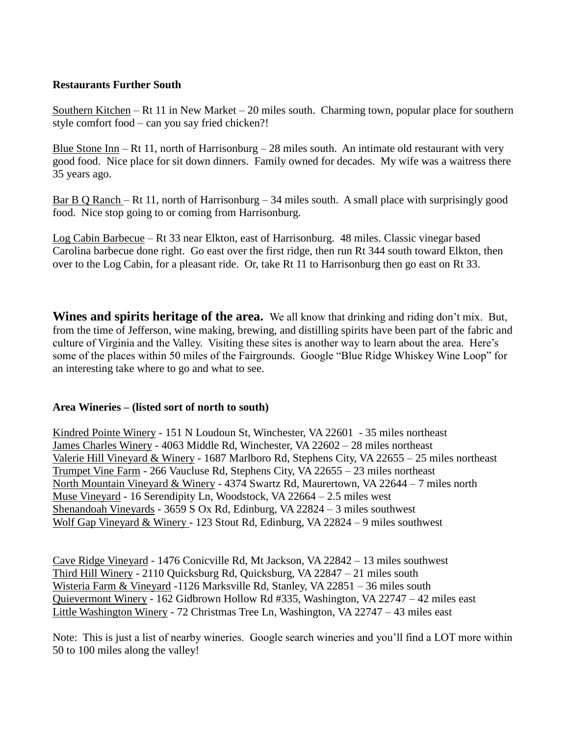### **Restaurants Further South**

Southern Kitchen – Rt 11 in New Market – 20 miles south. Charming town, popular place for southern style comfort food – can you say fried chicken?!

Blue Stone Inn – Rt 11, north of Harrisonburg – 28 miles south. An intimate old restaurant with very good food. Nice place for sit down dinners. Family owned for decades. My wife was a waitress there 35 years ago.

Bar B Q Ranch – Rt 11, north of Harrisonburg – 34 miles south. A small place with surprisingly good food. Nice stop going to or coming from Harrisonburg.

Log Cabin Barbecue – Rt 33 near Elkton, east of Harrisonburg. 48 miles. Classic vinegar based Carolina barbecue done right. Go east over the first ridge, then run Rt 344 south toward Elkton, then over to the Log Cabin, for a pleasant ride. Or, take Rt 11 to Harrisonburg then go east on Rt 33.

**Wines and spirits heritage of the area.** We all know that drinking and riding don't mix. But, from the time of Jefferson, wine making, brewing, and distilling spirits have been part of the fabric and culture of Virginia and the Valley. Visiting these sites is another way to learn about the area. Here's some of the places within 50 miles of the Fairgrounds. Google "Blue Ridge Whiskey Wine Loop" for an interesting take where to go and what to see.

### **Area Wineries – (listed sort of north to south)**

Kindred Pointe Winery - 151 N Loudoun St, Winchester, VA 22601 - 35 miles northeast James Charles Winery - 4063 Middle Rd, Winchester, VA 22602 – 28 miles northeast Valerie Hill Vineyard & Winery - 1687 Marlboro Rd, Stephens City, VA 22655 – 25 miles northeast Trumpet Vine Farm - 266 Vaucluse Rd, Stephens City, VA 22655 – 23 miles northeast North Mountain Vineyard & Winery - 4374 Swartz Rd, Maurertown, VA 22644 – 7 miles north Muse Vineyard - 16 Serendipity Ln, Woodstock, VA 22664 – 2.5 miles west Shenandoah Vineyards - 3659 S Ox Rd, Edinburg, VA 22824 – 3 miles southwest Wolf Gap Vineyard & Winery - 123 Stout Rd, Edinburg, VA 22824 – 9 miles southwest

Cave Ridge Vineyard - 1476 Conicville Rd, Mt Jackson, VA 22842 – 13 miles southwest Third Hill Winery - 2110 Quicksburg Rd, Quicksburg, VA 22847 – 21 miles south Wisteria Farm & Vineyard -1126 Marksville Rd, Stanley, VA 22851 – 36 miles south Quievermont Winery - 162 Gidbrown Hollow Rd #335, Washington, VA 22747 – 42 miles east Little Washington Winery - 72 Christmas Tree Ln, Washington, VA 22747 – 43 miles east

Note: This is just a list of nearby wineries. Google search wineries and you'll find a LOT more within 50 to 100 miles along the valley!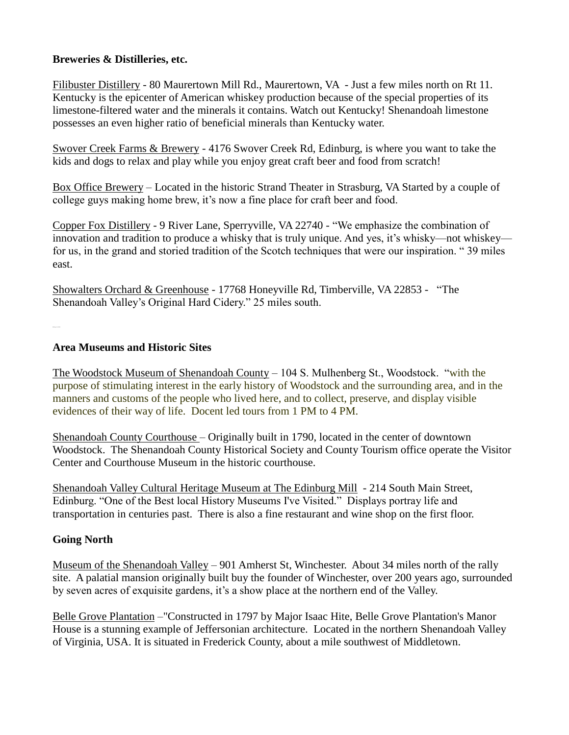### **Breweries & Distilleries, etc.**

Filibuster Distillery - 80 Maurertown Mill Rd., Maurertown, VA - Just a few miles north on Rt 11. Kentucky is the epicenter of American whiskey production because of the special properties of its limestone-filtered water and the minerals it contains. Watch out Kentucky! Shenandoah limestone possesses an even higher ratio of beneficial minerals than Kentucky water.

Swover Creek Farms & Brewery - 4176 Swover Creek Rd, Edinburg, is where you want to take the kids and dogs to relax and play while you enjoy great craft beer and food from scratch!

Box Office Brewery – Located in the historic Strand Theater in Strasburg, VA Started by a couple of college guys making home brew, it's now a fine place for craft beer and food.

Copper Fox Distillery - 9 River Lane, Sperryville, VA 22740 - "We emphasize the combination of innovation and tradition to produce a whisky that is truly unique. And yes, it's whisky—not whiskey for us, in the grand and storied tradition of the Scotch techniques that were our inspiration. " 39 miles east.

Showalters Orchard & Greenhouse - 17768 Honeyville Rd, Timberville, VA 22853 - "The Shenandoah Valley's Original Hard Cidery." 25 miles south.

### **Area Museums and Historic Sites**

The Woodstock Museum of Shenandoah County – 104 S. Mulhenberg St., Woodstock. "with the purpose of stimulating interest in the early history of Woodstock and the surrounding area, and in the manners and customs of the people who lived here, and to collect, preserve, and display visible evidences of their way of life. Docent led tours from 1 PM to 4 PM.

Shenandoah County Courthouse – Originally built in 1790, located in the center of downtown Woodstock. The Shenandoah County Historical Society and County Tourism office operate the Visitor Center and Courthouse Museum in the historic courthouse.

Shenandoah Valley Cultural Heritage Museum at The Edinburg Mill - 214 South Main Street, Edinburg. "One of the Best local History Museums I've Visited." Displays portray life and transportation in centuries past. There is also a fine restaurant and wine shop on the first floor.

### **Going North**

Museum of the Shenandoah Valley – 901 Amherst St, Winchester. About 34 miles north of the rally site. A palatial mansion originally built buy the founder of Winchester, over 200 years ago, surrounded by seven acres of exquisite gardens, it's a show place at the northern end of the Valley.

Belle Grove Plantation –"Constructed in 1797 by Major Isaac Hite, Belle Grove Plantation's Manor House is a stunning example of Jeffersonian architecture. Located in the northern Shenandoah Valley of Virginia, USA. It is situated in Frederick County, about a mile southwest of Middletown.